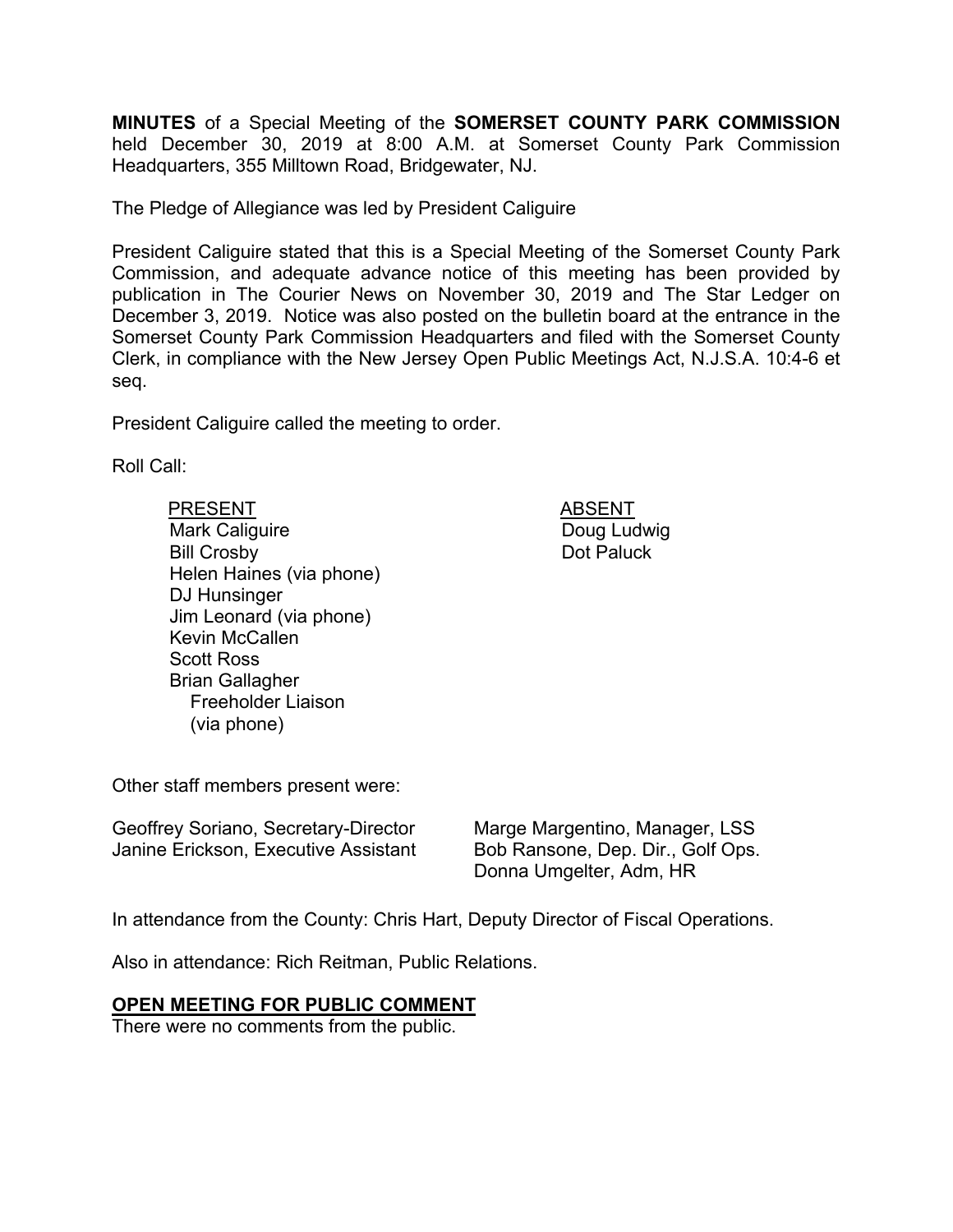**MINUTES** of a Special Meeting of the **SOMERSET COUNTY PARK COMMISSION** held December 30, 2019 at 8:00 A.M. at Somerset County Park Commission Headquarters, 355 Milltown Road, Bridgewater, NJ.

The Pledge of Allegiance was led by President Caliguire

President Caliguire stated that this is a Special Meeting of the Somerset County Park Commission, and adequate advance notice of this meeting has been provided by publication in The Courier News on November 30, 2019 and The Star Ledger on December 3, 2019. Notice was also posted on the bulletin board at the entrance in the Somerset County Park Commission Headquarters and filed with the Somerset County Clerk, in compliance with the New Jersey Open Public Meetings Act, N.J.S.A. 10:4-6 et seq.

President Caliguire called the meeting to order.

Roll Call:

PRESENT ABSENT Mark Caliguire Bill Crosby Helen Haines (via phone) DJ Hunsinger Jim Leonard (via phone) Kevin McCallen Scott Ross Brian Gallagher Freeholder Liaison (via phone)

 Doug Ludwig Dot Paluck

Other staff members present were:

Geoffrey Soriano, Secretary-Director Janine Erickson, Executive Assistant Marge Margentino, Manager, LSS Bob Ransone, Dep. Dir., Golf Ops. Donna Umgelter, Adm, HR

In attendance from the County: Chris Hart, Deputy Director of Fiscal Operations.

Also in attendance: Rich Reitman, Public Relations.

## **OPEN MEETING FOR PUBLIC COMMENT**

There were no comments from the public.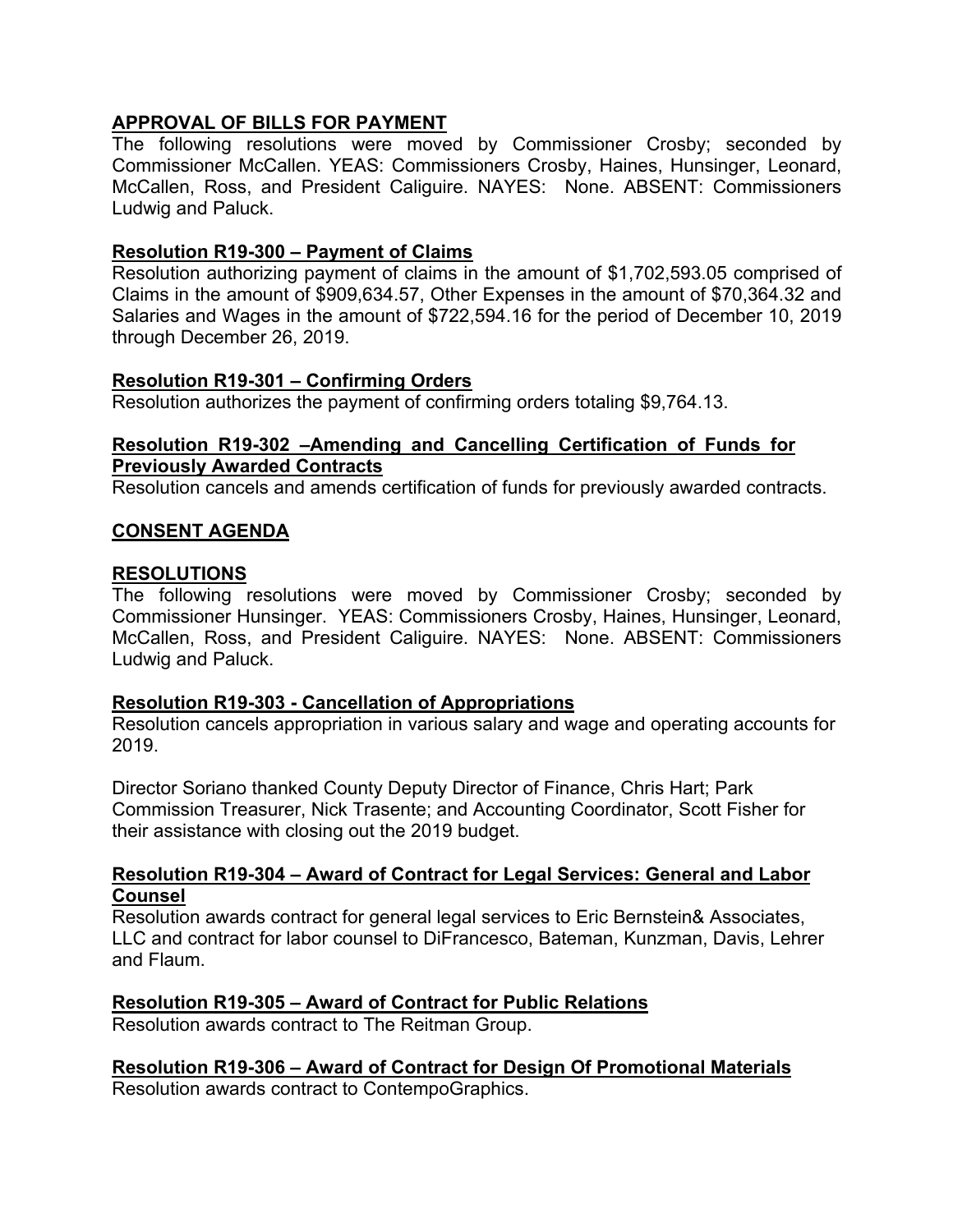# **APPROVAL OF BILLS FOR PAYMENT**

The following resolutions were moved by Commissioner Crosby; seconded by Commissioner McCallen. YEAS: Commissioners Crosby, Haines, Hunsinger, Leonard, McCallen, Ross, and President Caliguire. NAYES: None. ABSENT: Commissioners Ludwig and Paluck.

#### **Resolution R19-300 – Payment of Claims**

Resolution authorizing payment of claims in the amount of \$1,702,593.05 comprised of Claims in the amount of \$909,634.57, Other Expenses in the amount of \$70,364.32 and Salaries and Wages in the amount of \$722,594.16 for the period of December 10, 2019 through December 26, 2019.

#### **Resolution R19-301 – Confirming Orders**

Resolution authorizes the payment of confirming orders totaling \$9,764.13.

#### **Resolution R19-302 –Amending and Cancelling Certification of Funds for Previously Awarded Contracts**

Resolution cancels and amends certification of funds for previously awarded contracts.

#### **CONSENT AGENDA**

#### **RESOLUTIONS**

The following resolutions were moved by Commissioner Crosby; seconded by Commissioner Hunsinger. YEAS: Commissioners Crosby, Haines, Hunsinger, Leonard, McCallen, Ross, and President Caliguire. NAYES: None. ABSENT: Commissioners Ludwig and Paluck.

#### **Resolution R19-303 - Cancellation of Appropriations**

Resolution cancels appropriation in various salary and wage and operating accounts for 2019.

Director Soriano thanked County Deputy Director of Finance, Chris Hart; Park Commission Treasurer, Nick Trasente; and Accounting Coordinator, Scott Fisher for their assistance with closing out the 2019 budget.

#### **Resolution R19-304 – Award of Contract for Legal Services: General and Labor Counsel**

Resolution awards contract for general legal services to Eric Bernstein& Associates, LLC and contract for labor counsel to DiFrancesco, Bateman, Kunzman, Davis, Lehrer and Flaum.

## **Resolution R19-305 – Award of Contract for Public Relations**

Resolution awards contract to The Reitman Group.

## **Resolution R19-306 – Award of Contract for Design Of Promotional Materials**

Resolution awards contract to ContempoGraphics.